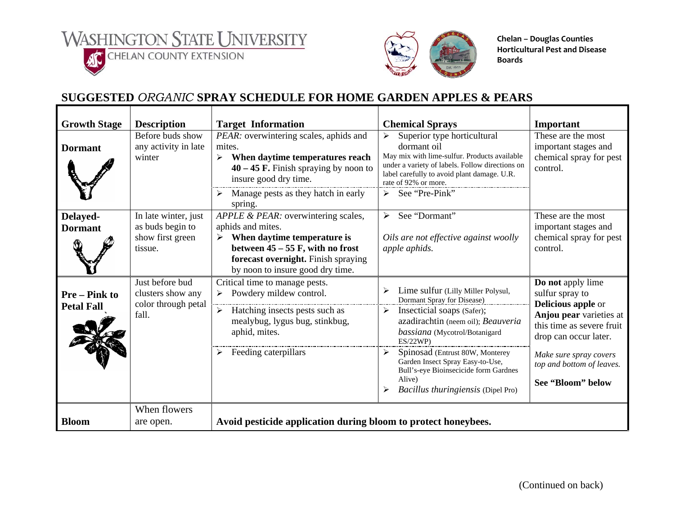**WASHINGTON STATE UNIVERSITY ACCHELAN COUNTY EXTENSION** 



**Chelan – Douglas Counties Horticultural Pest and Disease Boards**

## **SUGGESTED** *ORGANIC* **SPRAY SCHEDULE FOR HOME GARDEN APPLES & PEARS**

| <b>Growth Stage</b>                     | <b>Description</b>                                                      | <b>Target Information</b>                                                                                                                                                                                                 | <b>Chemical Sprays</b>                                                                                                                                                                                                                                                                                                                                            | Important                                                                                                                                                                                                                      |
|-----------------------------------------|-------------------------------------------------------------------------|---------------------------------------------------------------------------------------------------------------------------------------------------------------------------------------------------------------------------|-------------------------------------------------------------------------------------------------------------------------------------------------------------------------------------------------------------------------------------------------------------------------------------------------------------------------------------------------------------------|--------------------------------------------------------------------------------------------------------------------------------------------------------------------------------------------------------------------------------|
| <b>Dormant</b>                          | Before buds show<br>any activity in late<br>winter                      | PEAR: overwintering scales, aphids and<br>mites.<br>When daytime temperatures reach<br>$40 - 45$ F. Finish spraying by noon to<br>insure good dry time.<br>Manage pests as they hatch in early<br>spring.                 | Superior type horticultural<br>$\blacktriangleright$<br>dormant oil<br>May mix with lime-sulfur. Products available<br>under a variety of labels. Follow directions on<br>label carefully to avoid plant damage. U.R.<br>rate of 92% or more.<br>See "Pre-Pink"<br>➤                                                                                              | These are the most<br>important stages and<br>chemical spray for pest<br>control.                                                                                                                                              |
| Delayed-<br><b>Dormant</b>              | In late winter, just<br>as buds begin to<br>show first green<br>tissue. | APPLE & PEAR: overwintering scales,<br>aphids and mites.<br>$\triangleright$ When daytime temperature is<br>between $45 - 55$ F, with no frost<br>forecast overnight. Finish spraying<br>by noon to insure good dry time. | See "Dormant"<br>➤<br>Oils are not effective against woolly<br>apple aphids.                                                                                                                                                                                                                                                                                      | These are the most<br>important stages and<br>chemical spray for pest<br>control.                                                                                                                                              |
| <b>Pre-Pink to</b><br><b>Petal Fall</b> | Just before bud<br>clusters show any<br>color through petal<br>fall.    | Critical time to manage pests.<br>Powdery mildew control.<br>$\triangleright$ Hatching insects pests such as<br>mealybug, lygus bug, stinkbug,<br>aphid, mites.<br>Feeding caterpillars                                   | Lime sulfur (Lilly Miller Polysul,<br>Dormant Spray for Disease)<br>Insecticial soaps (Safer);<br>➤<br>azadirachtin (neem oil); Beauveria<br>bassiana (Mycotrol/Botanigard<br>ES/22WP<br>➤<br>Spinosad (Entrust 80W, Monterey<br>Garden Insect Spray Easy-to-Use,<br>Bull's-eye Bioinsecicide form Gardnes<br>Alive)<br><i>Bacillus thuringiensis</i> (Dipel Pro) | Do not apply lime<br>sulfur spray to<br><b>Delicious apple or</b><br>Anjou pear varieties at<br>this time as severe fruit<br>drop can occur later.<br>Make sure spray covers<br>top and bottom of leaves.<br>See "Bloom" below |
| <b>Bloom</b>                            | When flowers<br>are open.                                               | Avoid pesticide application during bloom to protect honeybees.                                                                                                                                                            |                                                                                                                                                                                                                                                                                                                                                                   |                                                                                                                                                                                                                                |